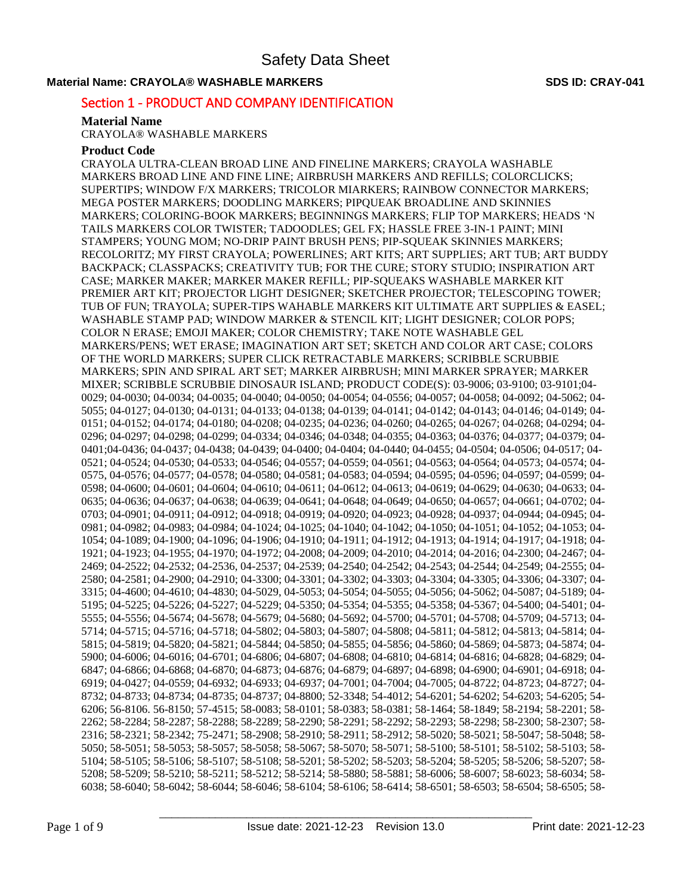### **Material Name: CRAYOLA® WASHABLE MARKERS SDS ID: CRAY-041**

# Section 1 - PRODUCT AND COMPANY IDENTIFICATION

### **Material Name**

CRAYOLA® WASHABLE MARKERS

### **Product Code**

CRAYOLA ULTRA-CLEAN BROAD LINE AND FINELINE MARKERS; CRAYOLA WASHABLE MARKERS BROAD LINE AND FINE LINE; AIRBRUSH MARKERS AND REFILLS; COLORCLICKS; SUPERTIPS; WINDOW F/X MARKERS; TRICOLOR MIARKERS; RAINBOW CONNECTOR MARKERS; MEGA POSTER MARKERS; DOODLING MARKERS; PIPQUEAK BROADLINE AND SKINNIES MARKERS; COLORING-BOOK MARKERS; BEGINNINGS MARKERS; FLIP TOP MARKERS; HEADS 'N TAILS MARKERS COLOR TWISTER; TADOODLES; GEL FX; HASSLE FREE 3-IN-1 PAINT; MINI STAMPERS; YOUNG MOM; NO-DRIP PAINT BRUSH PENS; PIP-SQUEAK SKINNIES MARKERS; RECOLORITZ; MY FIRST CRAYOLA; POWERLINES; ART KITS; ART SUPPLIES; ART TUB; ART BUDDY BACKPACK; CLASSPACKS; CREATIVITY TUB; FOR THE CURE; STORY STUDIO; INSPIRATION ART CASE; MARKER MAKER; MARKER MAKER REFILL; PIP-SQUEAKS WASHABLE MARKER KIT PREMIER ART KIT; PROJECTOR LIGHT DESIGNER; SKETCHER PROJECTOR; TELESCOPING TOWER; TUB OF FUN; TRAYOLA; SUPER-TIPS WAHABLE MARKERS KIT ULTIMATE ART SUPPLIES & EASEL; WASHABLE STAMP PAD; WINDOW MARKER & STENCIL KIT; LIGHT DESIGNER; COLOR POPS; COLOR N ERASE; EMOJI MAKER; COLOR CHEMISTRY; TAKE NOTE WASHABLE GEL MARKERS/PENS; WET ERASE; IMAGINATION ART SET; SKETCH AND COLOR ART CASE; COLORS OF THE WORLD MARKERS; SUPER CLICK RETRACTABLE MARKERS; SCRIBBLE SCRUBBIE MARKERS; SPIN AND SPIRAL ART SET; MARKER AIRBRUSH; MINI MARKER SPRAYER; MARKER MIXER; SCRIBBLE SCRUBBIE DINOSAUR ISLAND; PRODUCT CODE(S): 03-9006; 03-9100; 03-9101;04- 0029; 04-0030; 04-0034; 04-0035; 04-0040; 04-0050; 04-0054; 04-0556; 04-0057; 04-0058; 04-0092; 04-5062; 04- 5055; 04-0127; 04-0130; 04-0131; 04-0133; 04-0138; 04-0139; 04-0141; 04-0142; 04-0143; 04-0146; 04-0149; 04- 0151; 04-0152; 04-0174; 04-0180; 04-0208; 04-0235; 04-0236; 04-0260; 04-0265; 04-0267; 04-0268; 04-0294; 04- 0296; 04-0297; 04-0298; 04-0299; 04-0334; 04-0346; 04-0348; 04-0355; 04-0363; 04-0376; 04-0377; 04-0379; 04- 0401;04-0436; 04-0437; 04-0438; 04-0439; 04-0400; 04-0404; 04-0440; 04-0455; 04-0504; 04-0506; 04-0517; 04- 0521; 04-0524; 04-0530; 04-0533; 04-0546; 04-0557; 04-0559; 04-0561; 04-0563; 04-0564; 04-0573; 04-0574; 04- 0575, 04-0576; 04-0577; 04-0578; 04-0580; 04-0581; 04-0583; 04-0594; 04-0595; 04-0596; 04-0597; 04-0599; 04- 0598; 04-0600; 04-0601; 04-0604; 04-0610; 04-0611; 04-0612; 04-0613; 04-0619; 04-0629; 04-0630; 04-0633; 04- 0635; 04-0636; 04-0637; 04-0638; 04-0639; 04-0641; 04-0648; 04-0649; 04-0650; 04-0657; 04-0661; 04-0702; 04- 0703; 04-0901; 04-0911; 04-0912; 04-0918; 04-0919; 04-0920; 04-0923; 04-0928; 04-0937; 04-0944; 04-0945; 04- 0981; 04-0982; 04-0983; 04-0984; 04-1024; 04-1025; 04-1040; 04-1042; 04-1050; 04-1051; 04-1052; 04-1053; 04- 1054; 04-1089; 04-1900; 04-1096; 04-1906; 04-1910; 04-1911; 04-1912; 04-1913; 04-1914; 04-1917; 04-1918; 04- 1921; 04-1923; 04-1955; 04-1970; 04-1972; 04-2008; 04-2009; 04-2010; 04-2014; 04-2016; 04-2300; 04-2467; 04- 2469; 04-2522; 04-2532; 04-2536, 04-2537; 04-2539; 04-2540; 04-2542; 04-2543; 04-2544; 04-2549; 04-2555; 04- 2580; 04-2581; 04-2900; 04-2910; 04-3300; 04-3301; 04-3302; 04-3303; 04-3304; 04-3305; 04-3306; 04-3307; 04- 3315; 04-4600; 04-4610; 04-4830; 04-5029, 04-5053; 04-5054; 04-5055; 04-5056; 04-5062; 04-5087; 04-5189; 04- 5195; 04-5225; 04-5226; 04-5227; 04-5229; 04-5350; 04-5354; 04-5355; 04-5358; 04-5367; 04-5400; 04-5401; 04- 5555; 04-5556; 04-5674; 04-5678; 04-5679; 04-5680; 04-5692; 04-5700; 04-5701; 04-5708; 04-5709; 04-5713; 04- 5714; 04-5715; 04-5716; 04-5718; 04-5802; 04-5803; 04-5807; 04-5808; 04-5811; 04-5812; 04-5813; 04-5814; 04- 5815; 04-5819; 04-5820; 04-5821; 04-5844; 04-5850; 04-5855; 04-5856; 04-5860; 04-5869; 04-5873; 04-5874; 04- 5900; 04-6006; 04-6016; 04-6701; 04-6806; 04-6807; 04-6808; 04-6810; 04-6814; 04-6816; 04-6828; 04-6829; 04- 6847; 04-6866; 04-6868; 04-6870; 04-6873; 04-6876; 04-6879; 04-6897; 04-6898; 04-6900; 04-6901; 04-6918; 04- 6919; 04-0427; 04-0559; 04-6932; 04-6933; 04-6937; 04-7001; 04-7004; 04-7005; 04-8722; 04-8723; 04-8727; 04- 8732; 04-8733; 04-8734; 04-8735; 04-8737; 04-8800; 52-3348; 54-4012; 54-6201; 54-6202; 54-6203; 54-6205; 54- 6206; 56-8106. 56-8150; 57-4515; 58-0083; 58-0101; 58-0383; 58-0381; 58-1464; 58-1849; 58-2194; 58-2201; 58- 2262; 58-2284; 58-2287; 58-2288; 58-2289; 58-2290; 58-2291; 58-2292; 58-2293; 58-2298; 58-2300; 58-2307; 58- 2316; 58-2321; 58-2342; 75-2471; 58-2908; 58-2910; 58-2911; 58-2912; 58-5020; 58-5021; 58-5047; 58-5048; 58- 5050; 58-5051; 58-5053; 58-5057; 58-5058; 58-5067; 58-5070; 58-5071; 58-5100; 58-5101; 58-5102; 58-5103; 58- 5104; 58-5105; 58-5106; 58-5107; 58-5108; 58-5201; 58-5202; 58-5203; 58-5204; 58-5205; 58-5206; 58-5207; 58- 5208; 58-5209; 58-5210; 58-5211; 58-5212; 58-5214; 58-5880; 58-5881; 58-6006; 58-6007; 58-6023; 58-6034; 58- 6038; 58-6040; 58-6042; 58-6044; 58-6046; 58-6104; 58-6106; 58-6414; 58-6501; 58-6503; 58-6504; 58-6505; 58-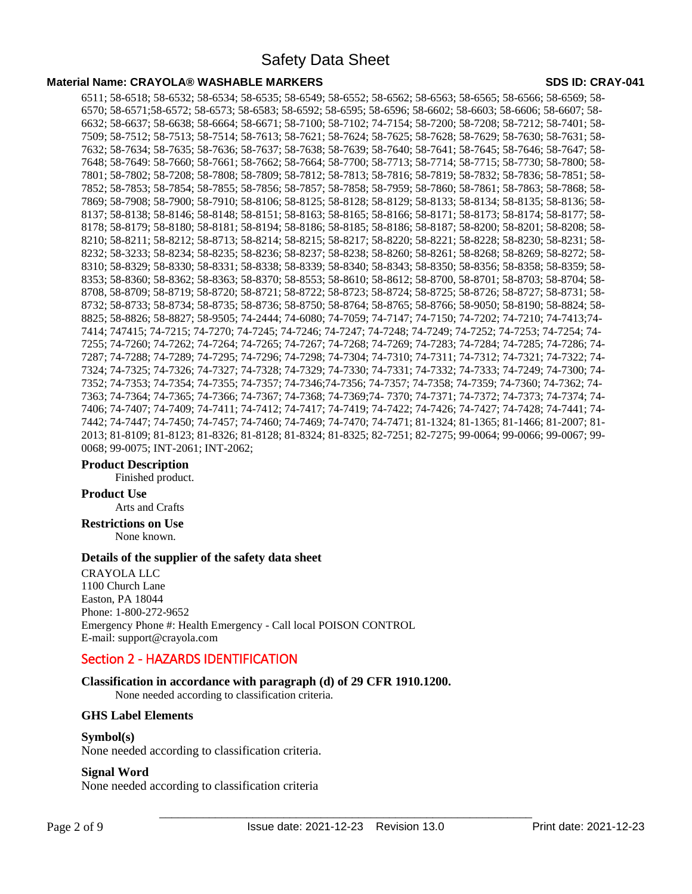### **Material Name: CRAYOLA® WASHABLE MARKERS SDS ID: CRAY-041**

6511; 58-6518; 58-6532; 58-6534; 58-6535; 58-6549; 58-6552; 58-6562; 58-6563; 58-6565; 58-6566; 58-6569; 58- 6570; 58-6571;58-6572; 58-6573; 58-6583; 58-6592; 58-6595; 58-6596; 58-6602; 58-6603; 58-6606; 58-6607; 58- 6632; 58-6637; 58-6638; 58-6664; 58-6671; 58-7100; 58-7102; 74-7154; 58-7200; 58-7208; 58-7212; 58-7401; 58- 7509; 58-7512; 58-7513; 58-7514; 58-7613; 58-7621; 58-7624; 58-7625; 58-7628; 58-7629; 58-7630; 58-7631; 58- 7632; 58-7634; 58-7635; 58-7636; 58-7637; 58-7638; 58-7639; 58-7640; 58-7641; 58-7645; 58-7646; 58-7647; 58- 7648; 58-7649: 58-7660; 58-7661; 58-7662; 58-7664; 58-7700; 58-7713; 58-7714; 58-7715; 58-7730; 58-7800; 58- 7801; 58-7802; 58-7208; 58-7808; 58-7809; 58-7812; 58-7813; 58-7816; 58-7819; 58-7832; 58-7836; 58-7851; 58- 7852; 58-7853; 58-7854; 58-7855; 58-7856; 58-7857; 58-7858; 58-7959; 58-7860; 58-7861; 58-7863; 58-7868; 58- 7869; 58-7908; 58-7900; 58-7910; 58-8106; 58-8125; 58-8128; 58-8129; 58-8133; 58-8134; 58-8135; 58-8136; 58- 8137; 58-8138; 58-8146; 58-8148; 58-8151; 58-8163; 58-8165; 58-8166; 58-8171; 58-8173; 58-8174; 58-8177; 58- 8178; 58-8179; 58-8180; 58-8181; 58-8194; 58-8186; 58-8185; 58-8186; 58-8187; 58-8200; 58-8201; 58-8208; 58- 8210; 58-8211; 58-8212; 58-8713; 58-8214; 58-8215; 58-8217; 58-8220; 58-8221; 58-8228; 58-8230; 58-8231; 58- 8232; 58-3233; 58-8234; 58-8235; 58-8236; 58-8237; 58-8238; 58-8260; 58-8261; 58-8268; 58-8269; 58-8272; 58- 8310; 58-8329; 58-8330; 58-8331; 58-8338; 58-8339; 58-8340; 58-8343; 58-8350; 58-8356; 58-8358; 58-8359; 58- 8353; 58-8360; 58-8362; 58-8363; 58-8370; 58-8553; 58-8610; 58-8612; 58-8700, 58-8701; 58-8703; 58-8704; 58- 8708, 58-8709; 58-8719; 58-8720; 58-8721; 58-8722; 58-8723; 58-8724; 58-8725; 58-8726; 58-8727; 58-8731; 58- 8732; 58-8733; 58-8734; 58-8735; 58-8736; 58-8750; 58-8764; 58-8765; 58-8766; 58-9050; 58-8190; 58-8824; 58- 8825; 58-8826; 58-8827; 58-9505; 74-2444; 74-6080; 74-7059; 74-7147; 74-7150; 74-7202; 74-7210; 74-7413;74- 7414; 747415; 74-7215; 74-7270; 74-7245; 74-7246; 74-7247; 74-7248; 74-7249; 74-7252; 74-7253; 74-7254; 74- 7255; 74-7260; 74-7262; 74-7264; 74-7265; 74-7267; 74-7268; 74-7269; 74-7283; 74-7284; 74-7285; 74-7286; 74- 7287; 74-7288; 74-7289; 74-7295; 74-7296; 74-7298; 74-7304; 74-7310; 74-7311; 74-7312; 74-7321; 74-7322; 74- 7324; 74-7325; 74-7326; 74-7327; 74-7328; 74-7329; 74-7330; 74-7331; 74-7332; 74-7333; 74-7249; 74-7300; 74- 7352; 74-7353; 74-7354; 74-7355; 74-7357; 74-7346;74-7356; 74-7357; 74-7358; 74-7359; 74-7360; 74-7362; 74- 7363; 74-7364; 74-7365; 74-7366; 74-7367; 74-7368; 74-7369;74- 7370; 74-7371; 74-7372; 74-7373; 74-7374; 74- 7406; 74-7407; 74-7409; 74-7411; 74-7412; 74-7417; 74-7419; 74-7422; 74-7426; 74-7427; 74-7428; 74-7441; 74- 7442; 74-7447; 74-7450; 74-7457; 74-7460; 74-7469; 74-7470; 74-7471; 81-1324; 81-1365; 81-1466; 81-2007; 81- 2013; 81-8109; 81-8123; 81-8326; 81-8128; 81-8324; 81-8325; 82-7251; 82-7275; 99-0064; 99-0066; 99-0067; 99- 0068; 99-0075; INT-2061; INT-2062;

### **Product Description**

Finished product.

### **Product Use**

Arts and Crafts

#### **Restrictions on Use** None known.

### **Details of the supplier of the safety data sheet**

CRAYOLA LLC 1100 Church Lane Easton, PA 18044 Phone: 1-800-272-9652 Emergency Phone #: Health Emergency - Call local POISON CONTROL E-mail: support@crayola.com

# Section 2 - HAZARDS IDENTIFICATION

**Classification in accordance with paragraph (d) of 29 CFR 1910.1200.** 

None needed according to classification criteria.

### **GHS Label Elements**

### **Symbol(s)**

None needed according to classification criteria.

### **Signal Word**

None needed according to classification criteria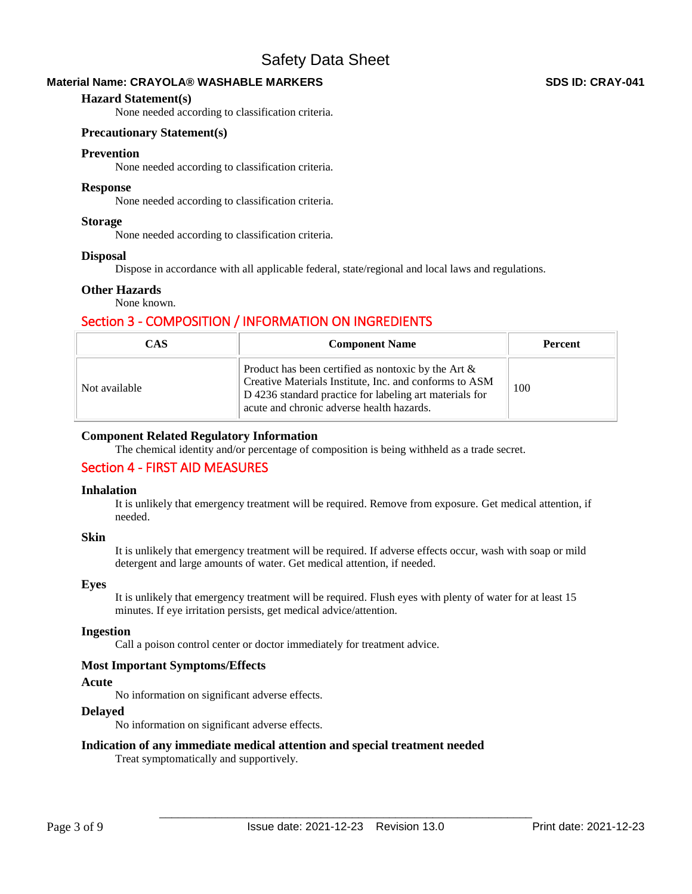### **Material Name: CRAYOLA® WASHABLE MARKERS SDS ID: CRAY-041**

### **Hazard Statement(s)**

None needed according to classification criteria.

### **Precautionary Statement(s)**

### **Prevention**

None needed according to classification criteria.

### **Response**

None needed according to classification criteria.

### **Storage**

None needed according to classification criteria.

### **Disposal**

Dispose in accordance with all applicable federal, state/regional and local laws and regulations.

### **Other Hazards**

None known.

# Section 3 - COMPOSITION / INFORMATION ON INGREDIENTS

| <b>CAS</b>    | <b>Component Name</b>                                                                                                                                                                                                    | <b>Percent</b> |
|---------------|--------------------------------------------------------------------------------------------------------------------------------------------------------------------------------------------------------------------------|----------------|
| Not available | Product has been certified as nontoxic by the Art $\&$<br>Creative Materials Institute, Inc. and conforms to ASM<br>D 4236 standard practice for labeling art materials for<br>acute and chronic adverse health hazards. | 100            |

### **Component Related Regulatory Information**

The chemical identity and/or percentage of composition is being withheld as a trade secret.

# Section 4 - FIRST AID MEASURES

### **Inhalation**

It is unlikely that emergency treatment will be required. Remove from exposure. Get medical attention, if needed.

### **Skin**

It is unlikely that emergency treatment will be required. If adverse effects occur, wash with soap or mild detergent and large amounts of water. Get medical attention, if needed.

### **Eyes**

It is unlikely that emergency treatment will be required. Flush eyes with plenty of water for at least 15 minutes. If eye irritation persists, get medical advice/attention.

### **Ingestion**

Call a poison control center or doctor immediately for treatment advice.

### **Most Important Symptoms/Effects**

### **Acute**

No information on significant adverse effects.

### **Delayed**

No information on significant adverse effects.

### **Indication of any immediate medical attention and special treatment needed**

Treat symptomatically and supportively.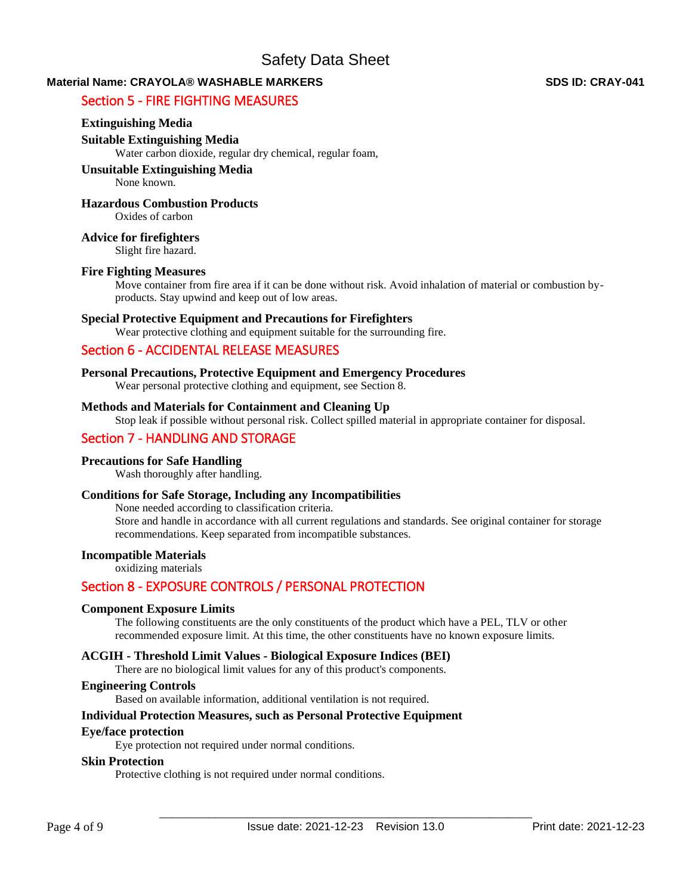# **Material Name: CRAYOLA® WASHABLE MARKERS SDS ID: CRAY-041**

# Section 5 - FIRE FIGHTING MEASURES

### **Extinguishing Media**

### **Suitable Extinguishing Media**

Water carbon dioxide, regular dry chemical, regular foam,

### **Unsuitable Extinguishing Media**

None known.

### **Hazardous Combustion Products**

Oxides of carbon

### **Advice for firefighters**

Slight fire hazard.

### **Fire Fighting Measures**

Move container from fire area if it can be done without risk. Avoid inhalation of material or combustion byproducts. Stay upwind and keep out of low areas.

### **Special Protective Equipment and Precautions for Firefighters**

Wear protective clothing and equipment suitable for the surrounding fire.

# Section 6 - ACCIDENTAL RELEASE MEASURES

# **Personal Precautions, Protective Equipment and Emergency Procedures**

Wear personal protective clothing and equipment, see Section 8.

### **Methods and Materials for Containment and Cleaning Up**

Stop leak if possible without personal risk. Collect spilled material in appropriate container for disposal.

# Section 7 - HANDLING AND STORAGE

### **Precautions for Safe Handling**

Wash thoroughly after handling.

### **Conditions for Safe Storage, Including any Incompatibilities**

None needed according to classification criteria. Store and handle in accordance with all current regulations and standards. See original container for storage recommendations. Keep separated from incompatible substances.

### **Incompatible Materials**

oxidizing materials

# Section 8 - EXPOSURE CONTROLS / PERSONAL PROTECTION

### **Component Exposure Limits**

The following constituents are the only constituents of the product which have a PEL, TLV or other recommended exposure limit. At this time, the other constituents have no known exposure limits.

### **ACGIH - Threshold Limit Values - Biological Exposure Indices (BEI)**

There are no biological limit values for any of this product's components.

### **Engineering Controls**

Based on available information, additional ventilation is not required.

### **Individual Protection Measures, such as Personal Protective Equipment**

### **Eye/face protection**

Eye protection not required under normal conditions.

### **Skin Protection**

Protective clothing is not required under normal conditions.

Page 4 of 9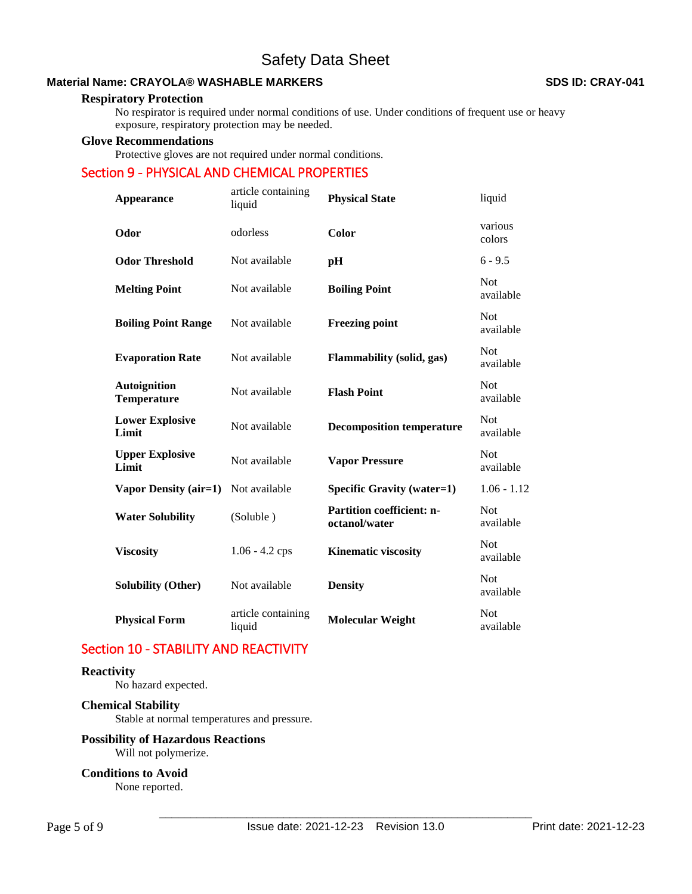### **Material Name: CRAYOLA® WASHABLE MARKERS SDS ID: CRAY-041**

### **Respiratory Protection**

No respirator is required under normal conditions of use. Under conditions of frequent use or heavy exposure, respiratory protection may be needed.

#### **Glove Recommendations**

Protective gloves are not required under normal conditions.

# Section 9 - PHYSICAL AND CHEMICAL PROPERTIES

| <b>Appearance</b>                         | article containing<br>liquid | <b>Physical State</b>                             | liquid                  |
|-------------------------------------------|------------------------------|---------------------------------------------------|-------------------------|
| Odor                                      | odorless                     | Color                                             | various<br>colors       |
| <b>Odor Threshold</b>                     | Not available                | pH                                                | $6 - 9.5$               |
| <b>Melting Point</b>                      | Not available                | <b>Boiling Point</b>                              | <b>Not</b><br>available |
| <b>Boiling Point Range</b>                | Not available                | <b>Freezing point</b>                             | <b>Not</b><br>available |
| <b>Evaporation Rate</b>                   | Not available                | Flammability (solid, gas)                         | <b>Not</b><br>available |
| <b>Autoignition</b><br><b>Temperature</b> | Not available                | <b>Flash Point</b>                                | <b>Not</b><br>available |
| <b>Lower Explosive</b><br>Limit           | Not available                | <b>Decomposition temperature</b>                  | <b>Not</b><br>available |
| <b>Upper Explosive</b><br>Limit           | Not available                | <b>Vapor Pressure</b>                             | <b>Not</b><br>available |
| Vapor Density (air=1)                     | Not available                | <b>Specific Gravity (water=1)</b>                 | $1.06 - 1.12$           |
| <b>Water Solubility</b>                   | (Soluble)                    | <b>Partition coefficient: n-</b><br>octanol/water | <b>Not</b><br>available |
| <b>Viscosity</b>                          | $1.06 - 4.2$ cps             | <b>Kinematic viscosity</b>                        | <b>Not</b><br>available |
| <b>Solubility (Other)</b>                 | Not available                | <b>Density</b>                                    | <b>Not</b><br>available |
| <b>Physical Form</b>                      | article containing<br>liquid | <b>Molecular Weight</b>                           | <b>Not</b><br>available |

# Section 10 - STABILITY AND REACTIVITY

### **Reactivity**

No hazard expected.

# **Chemical Stability**

Stable at normal temperatures and pressure.

### **Possibility of Hazardous Reactions**

Will not polymerize.

### **Conditions to Avoid**

None reported.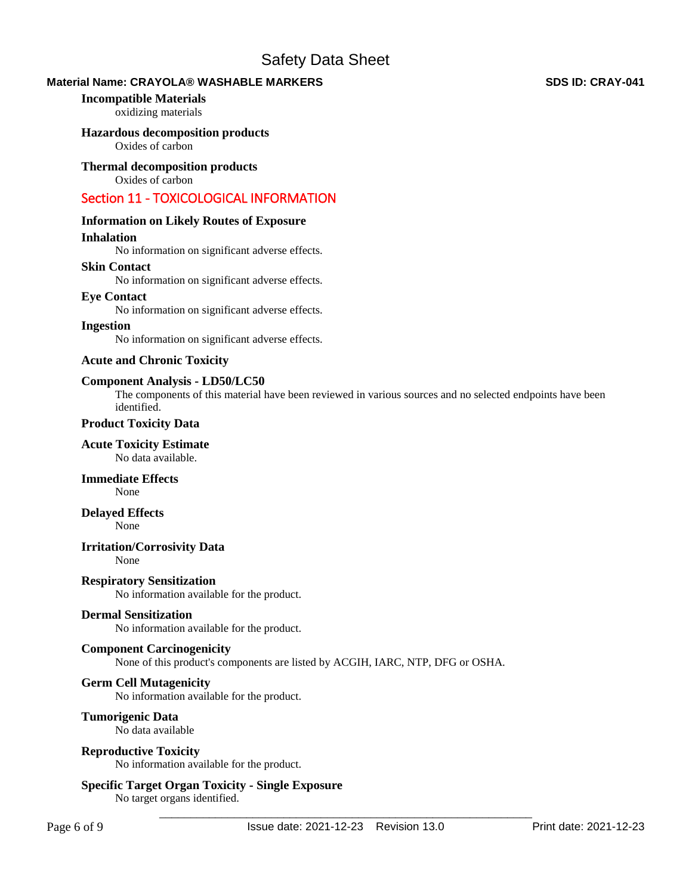### **Material Name: CRAYOLA® WASHABLE MARKERS SDS ID: CRAY-041**

### **Incompatible Materials**

oxidizing materials

### **Hazardous decomposition products**

Oxides of carbon

### **Thermal decomposition products**

Oxides of carbon

# Section 11 - TOXICOLOGICAL INFORMATION

### **Information on Likely Routes of Exposure**

### **Inhalation**

No information on significant adverse effects.

### **Skin Contact**

No information on significant adverse effects.

### **Eye Contact**

No information on significant adverse effects.

### **Ingestion**

No information on significant adverse effects.

### **Acute and Chronic Toxicity**

### **Component Analysis - LD50/LC50**

The components of this material have been reviewed in various sources and no selected endpoints have been identified.

### **Product Toxicity Data**

# **Acute Toxicity Estimate**

No data available.

### **Immediate Effects**

None

### **Delayed Effects**

None

### **Irritation/Corrosivity Data**

None

**Respiratory Sensitization**  No information available for the product.

### **Dermal Sensitization**

No information available for the product.

### **Component Carcinogenicity**

None of this product's components are listed by ACGIH, IARC, NTP, DFG or OSHA.

### **Germ Cell Mutagenicity**

No information available for the product.

### **Tumorigenic Data**

No data available

### **Reproductive Toxicity**

No information available for the product.

### **Specific Target Organ Toxicity - Single Exposure**

No target organs identified.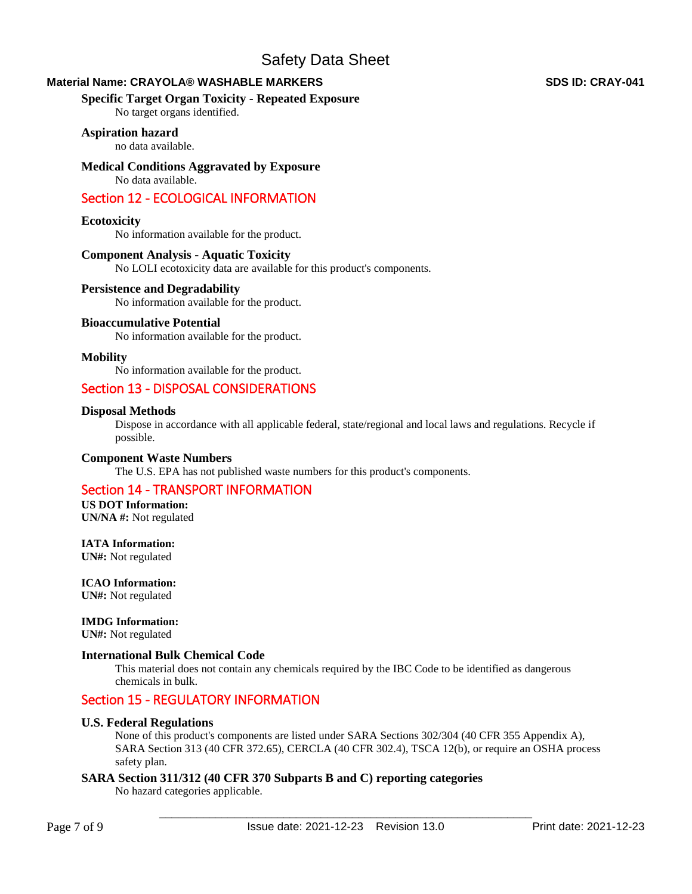### **Material Name: CRAYOLA® WASHABLE MARKERS SDS ID: CRAY-041**

### **Specific Target Organ Toxicity - Repeated Exposure**

No target organs identified.

### **Aspiration hazard**

no data available.

### **Medical Conditions Aggravated by Exposure**

No data available.

# Section 12 - ECOLOGICAL INFORMATION

### **Ecotoxicity**

No information available for the product.

### **Component Analysis - Aquatic Toxicity**

No LOLI ecotoxicity data are available for this product's components.

### **Persistence and Degradability**

No information available for the product.

### **Bioaccumulative Potential**

No information available for the product.

### **Mobility**

No information available for the product.

# Section 13 - DISPOSAL CONSIDERATIONS

### **Disposal Methods**

Dispose in accordance with all applicable federal, state/regional and local laws and regulations. Recycle if possible.

### **Component Waste Numbers**

The U.S. EPA has not published waste numbers for this product's components.

# Section 14 - TRANSPORT INFORMATION

**US DOT Information: UN/NA #:** Not regulated

**IATA Information: UN#:** Not regulated

**ICAO Information: UN#:** Not regulated

**IMDG Information:** 

**UN#:** Not regulated

### **International Bulk Chemical Code**

This material does not contain any chemicals required by the IBC Code to be identified as dangerous chemicals in bulk.

# Section 15 - REGULATORY INFORMATION

### **U.S. Federal Regulations**

None of this product's components are listed under SARA Sections 302/304 (40 CFR 355 Appendix A), SARA Section 313 (40 CFR 372.65), CERCLA (40 CFR 302.4), TSCA 12(b), or require an OSHA process safety plan.

### **SARA Section 311/312 (40 CFR 370 Subparts B and C) reporting categories**

No hazard categories applicable.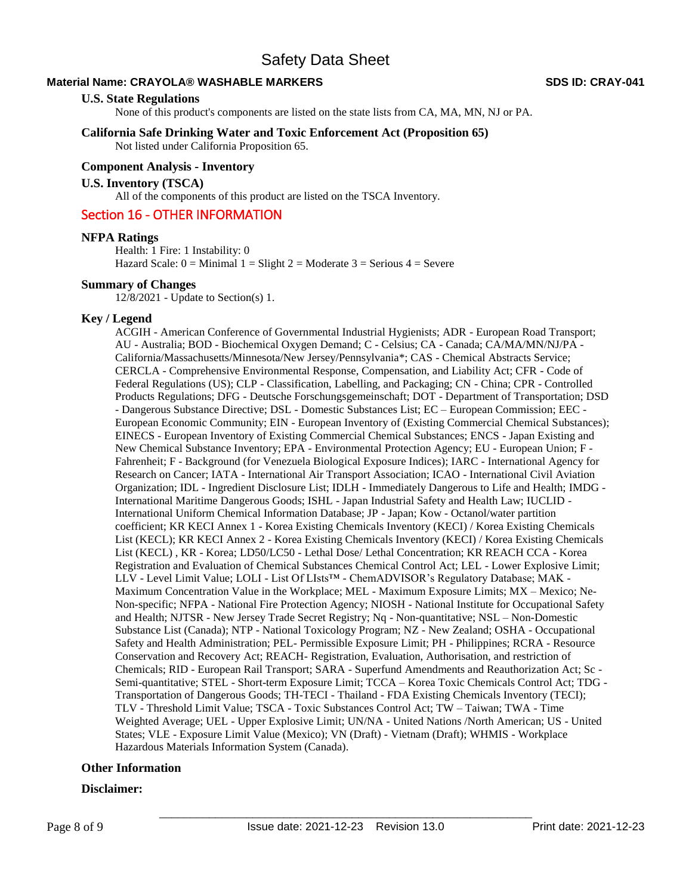### **Material Name: CRAYOLA® WASHABLE MARKERS SDS ID: CRAY-041**

### **U.S. State Regulations**

None of this product's components are listed on the state lists from CA, MA, MN, NJ or PA.

### **California Safe Drinking Water and Toxic Enforcement Act (Proposition 65)**

Not listed under California Proposition 65.

### **Component Analysis - Inventory**

### **U.S. Inventory (TSCA)**

All of the components of this product are listed on the TSCA Inventory.

### Section 16 - OTHER INFORMATION

### **NFPA Ratings**

Health: 1 Fire: 1 Instability: 0 Hazard Scale:  $0 =$  Minimal  $1 =$  Slight  $2 =$  Moderate  $3 =$  Serious  $4 =$  Severe

### **Summary of Changes**

12/8/2021 - Update to Section(s) 1.

### **Key / Legend**

ACGIH - American Conference of Governmental Industrial Hygienists; ADR - European Road Transport; AU - Australia; BOD - Biochemical Oxygen Demand; C - Celsius; CA - Canada; CA/MA/MN/NJ/PA - California/Massachusetts/Minnesota/New Jersey/Pennsylvania\*; CAS - Chemical Abstracts Service; CERCLA - Comprehensive Environmental Response, Compensation, and Liability Act; CFR - Code of Federal Regulations (US); CLP - Classification, Labelling, and Packaging; CN - China; CPR - Controlled Products Regulations; DFG - Deutsche Forschungsgemeinschaft; DOT - Department of Transportation; DSD - Dangerous Substance Directive; DSL - Domestic Substances List; EC – European Commission; EEC - European Economic Community; EIN - European Inventory of (Existing Commercial Chemical Substances); EINECS - European Inventory of Existing Commercial Chemical Substances; ENCS - Japan Existing and New Chemical Substance Inventory; EPA - Environmental Protection Agency; EU - European Union; F - Fahrenheit; F - Background (for Venezuela Biological Exposure Indices); IARC - International Agency for Research on Cancer; IATA - International Air Transport Association; ICAO - International Civil Aviation Organization; IDL - Ingredient Disclosure List; IDLH - Immediately Dangerous to Life and Health; IMDG - International Maritime Dangerous Goods; ISHL - Japan Industrial Safety and Health Law; IUCLID - International Uniform Chemical Information Database; JP - Japan; Kow - Octanol/water partition coefficient; KR KECI Annex 1 - Korea Existing Chemicals Inventory (KECI) / Korea Existing Chemicals List (KECL); KR KECI Annex 2 - Korea Existing Chemicals Inventory (KECI) / Korea Existing Chemicals List (KECL) , KR - Korea; LD50/LC50 - Lethal Dose/ Lethal Concentration; KR REACH CCA - Korea Registration and Evaluation of Chemical Substances Chemical Control Act; LEL - Lower Explosive Limit; LLV - Level Limit Value; LOLI - List Of LIsts™ - ChemADVISOR's Regulatory Database; MAK - Maximum Concentration Value in the Workplace; MEL - Maximum Exposure Limits; MX – Mexico; Ne-Non-specific; NFPA - National Fire Protection Agency; NIOSH - National Institute for Occupational Safety and Health; NJTSR - New Jersey Trade Secret Registry; Nq - Non-quantitative; NSL – Non-Domestic Substance List (Canada); NTP - National Toxicology Program; NZ - New Zealand; OSHA - Occupational Safety and Health Administration; PEL- Permissible Exposure Limit; PH - Philippines; RCRA - Resource Conservation and Recovery Act; REACH- Registration, Evaluation, Authorisation, and restriction of Chemicals; RID - European Rail Transport; SARA - Superfund Amendments and Reauthorization Act; Sc - Semi-quantitative; STEL - Short-term Exposure Limit; TCCA – Korea Toxic Chemicals Control Act; TDG - Transportation of Dangerous Goods; TH-TECI - Thailand - FDA Existing Chemicals Inventory (TECI); TLV - Threshold Limit Value; TSCA - Toxic Substances Control Act; TW – Taiwan; TWA - Time Weighted Average; UEL - Upper Explosive Limit; UN/NA - United Nations /North American; US - United States; VLE - Exposure Limit Value (Mexico); VN (Draft) - Vietnam (Draft); WHMIS - Workplace Hazardous Materials Information System (Canada).

### **Other Information**

### **Disclaimer:**